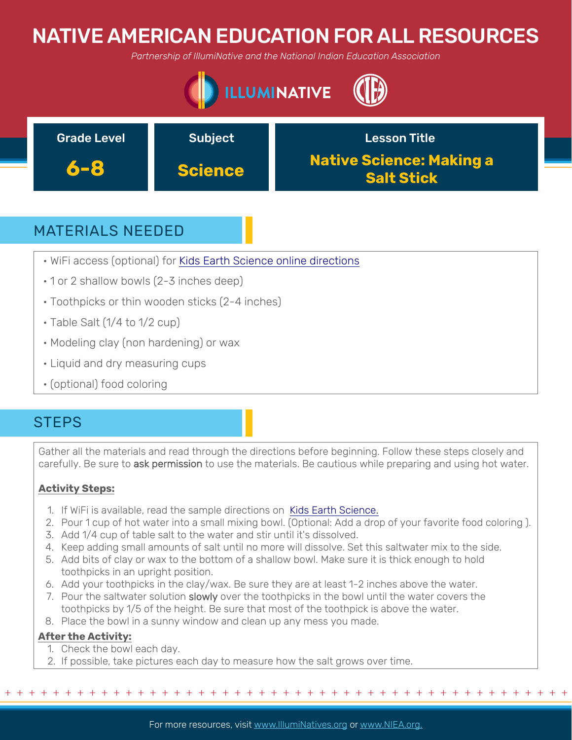# NATIVE AMERICAN EDUCATION FOR ALL RESOURCES

*Partnership of IllumiNative and the National Indian Education Association*





## MATERIALS NEEDED

- WiFi access (optional) for [Kids Earth Science online directions](https://www.kids-earth-science.com/water-cycle-experiment.html)
- 1 or 2 shallow bowls (2-3 inches deep)
- Toothpicks or thin wooden sticks (2-4 inches)
- Table Salt (1/4 to 1/2 cup)
- Modeling clay (non hardening) or wax
- Liquid and dry measuring cups
- (optional) food coloring

## **STEPS**

Gather all the materials and read through the directions before beginning. Follow these steps closely and carefully. Be sure to ask permission to use the materials. Be cautious while preparing and using hot water.

### **Activity Steps:**

- 1. If WiFi is available, read the sample directions on [Kids Earth Science.](https://www.kids-earth-science.com/water-cycle-experiment.html)
- 2. Pour 1 cup of hot water into a small mixing bowl. (Optional: Add a drop of your favorite food coloring ).
- 3. Add 1/4 cup of table salt to the water and stir until it's dissolved.
- 4. Keep adding small amounts of salt until no more will dissolve. Set this saltwater mix to the side.
- 5. Add bits of clay or wax to the bottom of a shallow bowl. Make sure it is thick enough to hold toothpicks in an upright position.
- 6. Add your toothpicks in the clay/wax. Be sure they are at least 1-2 inches above the water.
- 7. Pour the saltwater solution slowly over the toothpicks in the bowl until the water covers the toothpicks by 1/5 of the height. Be sure that most of the toothpick is above the water.
- 8. Place the bowl in a sunny window and clean up any mess you made.

### **After the Activity:**

- 1. Check the bowl each day.
- 2. If possible, take pictures each day to measure how the salt grows over time.

For more resources, visit www.lllumiNatives.org or www.NIEA.org.

+ + + + + + + + + + + + + + + + + + + + + + + + + + + + + + + + + + + + + + + + + + + + + + + +